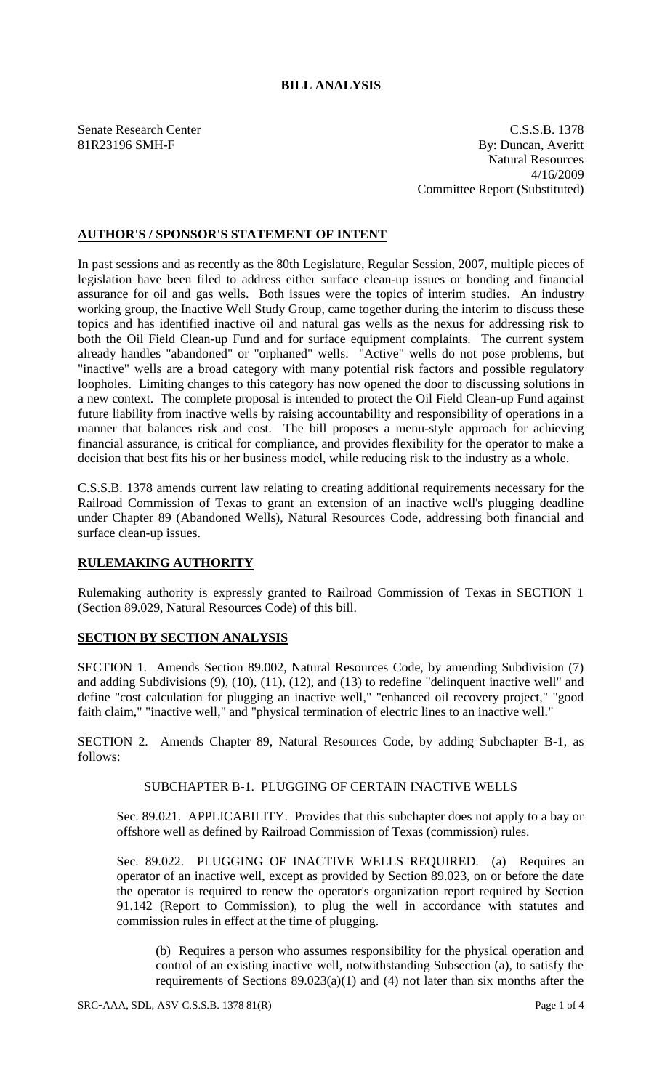# **BILL ANALYSIS**

Senate Research Center C.S.S.B. 1378 81R23196 SMH-F By: Duncan, Averitt Natural Resources 4/16/2009 Committee Report (Substituted)

# **AUTHOR'S / SPONSOR'S STATEMENT OF INTENT**

In past sessions and as recently as the 80th Legislature, Regular Session, 2007, multiple pieces of legislation have been filed to address either surface clean-up issues or bonding and financial assurance for oil and gas wells. Both issues were the topics of interim studies. An industry working group, the Inactive Well Study Group, came together during the interim to discuss these topics and has identified inactive oil and natural gas wells as the nexus for addressing risk to both the Oil Field Clean-up Fund and for surface equipment complaints. The current system already handles "abandoned" or "orphaned" wells. "Active" wells do not pose problems, but "inactive" wells are a broad category with many potential risk factors and possible regulatory loopholes. Limiting changes to this category has now opened the door to discussing solutions in a new context. The complete proposal is intended to protect the Oil Field Clean-up Fund against future liability from inactive wells by raising accountability and responsibility of operations in a manner that balances risk and cost. The bill proposes a menu-style approach for achieving financial assurance, is critical for compliance, and provides flexibility for the operator to make a decision that best fits his or her business model, while reducing risk to the industry as a whole.

C.S.S.B. 1378 amends current law relating to creating additional requirements necessary for the Railroad Commission of Texas to grant an extension of an inactive well's plugging deadline under Chapter 89 (Abandoned Wells), Natural Resources Code, addressing both financial and surface clean-up issues.

#### **RULEMAKING AUTHORITY**

Rulemaking authority is expressly granted to Railroad Commission of Texas in SECTION 1 (Section 89.029, Natural Resources Code) of this bill.

#### **SECTION BY SECTION ANALYSIS**

SECTION 1. Amends Section 89.002, Natural Resources Code, by amending Subdivision (7) and adding Subdivisions (9), (10), (11), (12), and (13) to redefine "delinquent inactive well" and define "cost calculation for plugging an inactive well," "enhanced oil recovery project," "good faith claim," "inactive well," and "physical termination of electric lines to an inactive well."

SECTION 2. Amends Chapter 89, Natural Resources Code, by adding Subchapter B-1, as follows:

# SUBCHAPTER B-1. PLUGGING OF CERTAIN INACTIVE WELLS

Sec. 89.021. APPLICABILITY. Provides that this subchapter does not apply to a bay or offshore well as defined by Railroad Commission of Texas (commission) rules.

Sec. 89.022. PLUGGING OF INACTIVE WELLS REQUIRED. (a) Requires an operator of an inactive well, except as provided by Section 89.023, on or before the date the operator is required to renew the operator's organization report required by Section 91.142 (Report to Commission), to plug the well in accordance with statutes and commission rules in effect at the time of plugging.

(b) Requires a person who assumes responsibility for the physical operation and control of an existing inactive well, notwithstanding Subsection (a), to satisfy the requirements of Sections 89.023(a)(1) and (4) not later than six months after the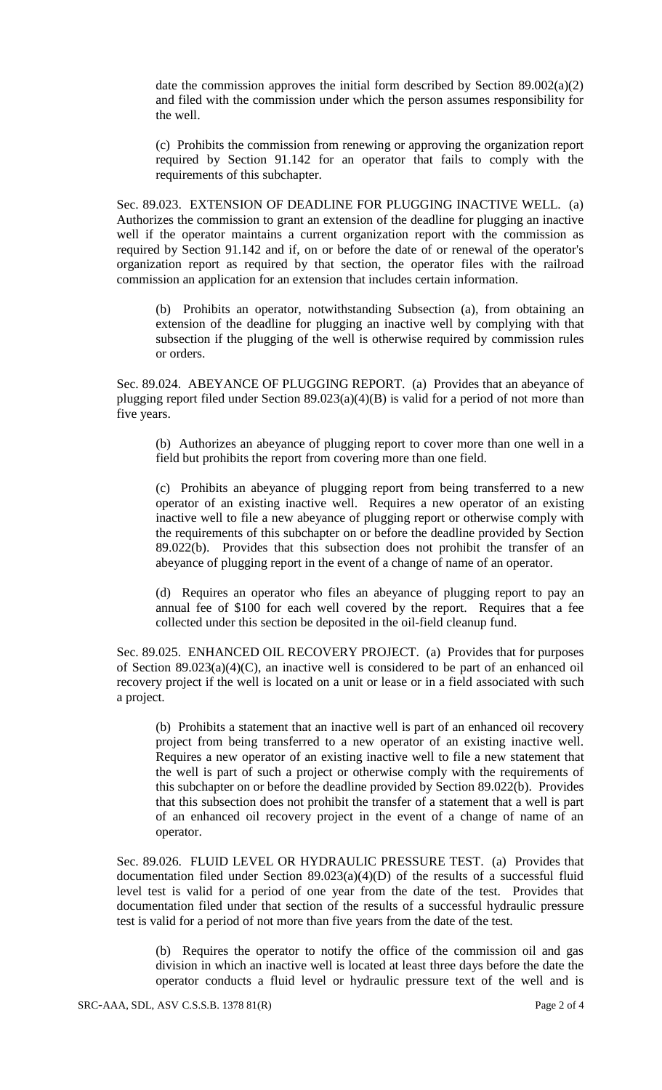date the commission approves the initial form described by Section 89.002(a)(2) and filed with the commission under which the person assumes responsibility for the well.

(c) Prohibits the commission from renewing or approving the organization report required by Section 91.142 for an operator that fails to comply with the requirements of this subchapter.

Sec. 89.023. EXTENSION OF DEADLINE FOR PLUGGING INACTIVE WELL. (a) Authorizes the commission to grant an extension of the deadline for plugging an inactive well if the operator maintains a current organization report with the commission as required by Section 91.142 and if, on or before the date of or renewal of the operator's organization report as required by that section, the operator files with the railroad commission an application for an extension that includes certain information.

(b) Prohibits an operator, notwithstanding Subsection (a), from obtaining an extension of the deadline for plugging an inactive well by complying with that subsection if the plugging of the well is otherwise required by commission rules or orders.

Sec. 89.024. ABEYANCE OF PLUGGING REPORT. (a) Provides that an abeyance of plugging report filed under Section 89.023(a)(4)(B) is valid for a period of not more than five years.

(b) Authorizes an abeyance of plugging report to cover more than one well in a field but prohibits the report from covering more than one field.

(c) Prohibits an abeyance of plugging report from being transferred to a new operator of an existing inactive well. Requires a new operator of an existing inactive well to file a new abeyance of plugging report or otherwise comply with the requirements of this subchapter on or before the deadline provided by Section 89.022(b). Provides that this subsection does not prohibit the transfer of an abeyance of plugging report in the event of a change of name of an operator.

(d) Requires an operator who files an abeyance of plugging report to pay an annual fee of \$100 for each well covered by the report. Requires that a fee collected under this section be deposited in the oil-field cleanup fund.

Sec. 89.025. ENHANCED OIL RECOVERY PROJECT. (a) Provides that for purposes of Section 89.023(a)(4)(C), an inactive well is considered to be part of an enhanced oil recovery project if the well is located on a unit or lease or in a field associated with such a project.

(b) Prohibits a statement that an inactive well is part of an enhanced oil recovery project from being transferred to a new operator of an existing inactive well. Requires a new operator of an existing inactive well to file a new statement that the well is part of such a project or otherwise comply with the requirements of this subchapter on or before the deadline provided by Section 89.022(b). Provides that this subsection does not prohibit the transfer of a statement that a well is part of an enhanced oil recovery project in the event of a change of name of an operator.

Sec. 89.026. FLUID LEVEL OR HYDRAULIC PRESSURE TEST. (a) Provides that documentation filed under Section  $89.023(a)(4)(D)$  of the results of a successful fluid level test is valid for a period of one year from the date of the test. Provides that documentation filed under that section of the results of a successful hydraulic pressure test is valid for a period of not more than five years from the date of the test.

(b) Requires the operator to notify the office of the commission oil and gas division in which an inactive well is located at least three days before the date the operator conducts a fluid level or hydraulic pressure text of the well and is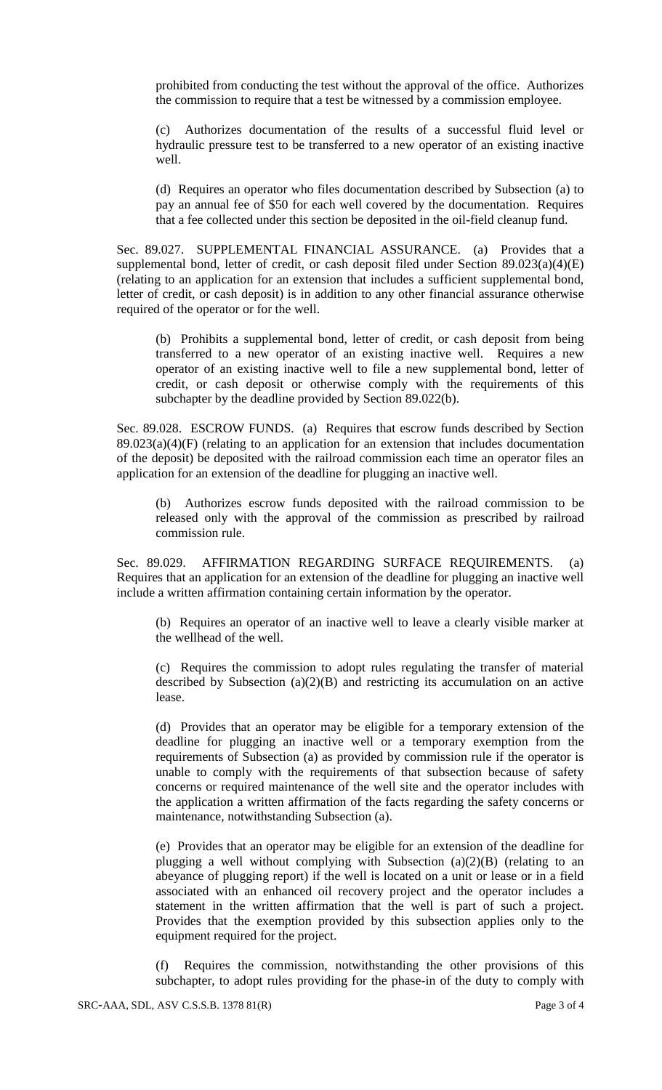prohibited from conducting the test without the approval of the office. Authorizes the commission to require that a test be witnessed by a commission employee.

(c) Authorizes documentation of the results of a successful fluid level or hydraulic pressure test to be transferred to a new operator of an existing inactive well.

(d) Requires an operator who files documentation described by Subsection (a) to pay an annual fee of \$50 for each well covered by the documentation. Requires that a fee collected under this section be deposited in the oil-field cleanup fund.

Sec. 89.027. SUPPLEMENTAL FINANCIAL ASSURANCE. (a) Provides that a supplemental bond, letter of credit, or cash deposit filed under Section 89.023(a)(4)(E) (relating to an application for an extension that includes a sufficient supplemental bond, letter of credit, or cash deposit) is in addition to any other financial assurance otherwise required of the operator or for the well.

(b) Prohibits a supplemental bond, letter of credit, or cash deposit from being transferred to a new operator of an existing inactive well. Requires a new operator of an existing inactive well to file a new supplemental bond, letter of credit, or cash deposit or otherwise comply with the requirements of this subchapter by the deadline provided by Section 89.022(b).

Sec. 89.028. ESCROW FUNDS. (a) Requires that escrow funds described by Section  $89.023(a)(4)$ (F) (relating to an application for an extension that includes documentation of the deposit) be deposited with the railroad commission each time an operator files an application for an extension of the deadline for plugging an inactive well.

(b) Authorizes escrow funds deposited with the railroad commission to be released only with the approval of the commission as prescribed by railroad commission rule.

Sec. 89.029. AFFIRMATION REGARDING SURFACE REQUIREMENTS. (a) Requires that an application for an extension of the deadline for plugging an inactive well include a written affirmation containing certain information by the operator.

(b) Requires an operator of an inactive well to leave a clearly visible marker at the wellhead of the well.

(c) Requires the commission to adopt rules regulating the transfer of material described by Subsection  $(a)(2)(B)$  and restricting its accumulation on an active lease.

(d) Provides that an operator may be eligible for a temporary extension of the deadline for plugging an inactive well or a temporary exemption from the requirements of Subsection (a) as provided by commission rule if the operator is unable to comply with the requirements of that subsection because of safety concerns or required maintenance of the well site and the operator includes with the application a written affirmation of the facts regarding the safety concerns or maintenance, notwithstanding Subsection (a).

(e) Provides that an operator may be eligible for an extension of the deadline for plugging a well without complying with Subsection  $(a)(2)(B)$  (relating to an abeyance of plugging report) if the well is located on a unit or lease or in a field associated with an enhanced oil recovery project and the operator includes a statement in the written affirmation that the well is part of such a project. Provides that the exemption provided by this subsection applies only to the equipment required for the project.

(f) Requires the commission, notwithstanding the other provisions of this subchapter, to adopt rules providing for the phase-in of the duty to comply with